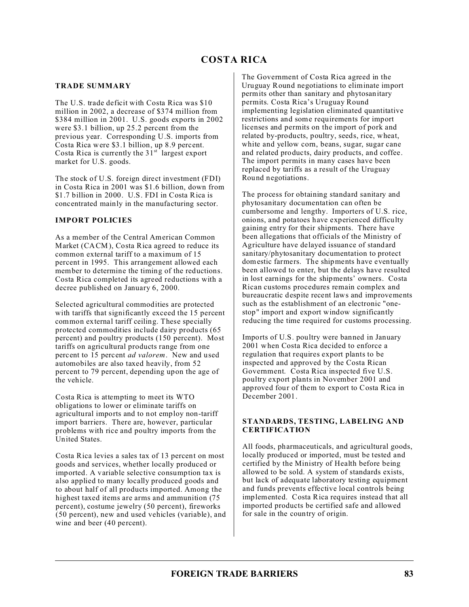## **TRADE SUMMARY**

The U.S. trade deficit with Costa Rica was \$10 million in 2002, a decrease of \$374 million from \$384 million in 2001. U.S. goods exports in 2002 were \$3.1 billion, up 25.2 percent from the previous year. Corresponding U.S. imports from Costa Rica were \$3.1 billion, up 8.9 percent. Costa Rica is currently the  $31<sup>st</sup>$  largest export market for U.S. goods.

The stock of U.S. foreign direct investment (FDI) in Costa Rica in 2001 was \$1.6 billion, down from \$1.7 billion in 2000. U.S. FDI in Costa Rica is concentrated mainly in the manufacturing sector.

## **IMPORT POLICIES**

As a member of the Central American Common Market (CACM), Costa Rica agreed to reduce its common external tariff to a maximum of 15 percent in 1995. This arrangement allowed each member to determine the timing of the reductions. Costa Rica completed its agreed reductions with a decree published on January 6, 2000.

Selected agricultural commodities are protected with tariffs that significantly exceed the 15 percent common external tariff ceiling. These specially protected commodities include dairy products (65 percent) and poultry products (150 percent). Most tariffs on agricultural products range from one percent to 15 percent *ad valorem*. New and used automobiles are also taxed heavily, from 52 percent to 79 percent, depending upon the age of the vehicle.

Costa Rica is attempting to meet its WTO obligations to lower or eliminate tariffs on agricultural imports and to not employ non-tariff import barriers. There are, however, particular problems with rice and poultry imports from the United States.

Costa Rica levies a sales tax of 13 percent on most goods and services, whether locally produced or imported. A variable selective consumption tax is also applied to many locally produced goods and to about half of all products imported. Among the highest taxed items are arms and ammunition (75 percent), costume jewelry (50 percent), fireworks (50 percent), new and used vehicles (variable), and wine and beer (40 percent).

The Government of Costa Rica agreed in the Uruguay Round negotiations to eliminate import permits other than sanitary and phytosanitary permits. Costa Rica's Uruguay Round implementing legislation eliminated quantitative restrictions and some requirements for import licenses and permits on the import of pork and related by-products, poultry, seeds, rice, wheat, white and yellow corn, beans, sugar, sugar cane and related products, dairy products, and coffee. The import permits in many cases have been replaced by tariffs as a result of the Uruguay Round negotiations.

The process for obtaining standard sanitary and phytosanitary documentation can often be cumbersome and lengthy. Importers of U.S. rice, onions, and potatoes have experienced difficulty gaining entry for their shipments. There have been allegations that officials of the Ministry of Agriculture have delayed issuance of standard sanitary/phytosanitary documentation to protect domestic farmers. The shipments have eventually been allowed to enter, but the delays have resulted in lost earnings for the shipments' owners. Costa Rican customs procedures remain complex and bureaucratic despite recent laws and improvements such as the establishment of an electronic "onestop" import and export window significantly reducing the time required for customs processing.

Imports of U.S. poultry were banned in January 2001 when Costa Rica decided to enforce a regulation that requires export plants to be inspected and approved by the Costa Rican Government. Costa Rica inspected five U.S. poultry export plants in November 2001 and approved four of them to export to Costa Rica in December 2001.

## **STANDARDS, TESTING, LABELING AND CERTIFICATION**

All foods, pharmaceuticals, and agricultural goods, locally produced or imported, must be tested and certified by the Ministry of Health before being allowed to be sold. A system of standards exists, but lack of adequate laboratory testing equipment and funds prevents effective local controls being implemented. Costa Rica requires instead that all imported products be certified safe and allowed for sale in the country of origin.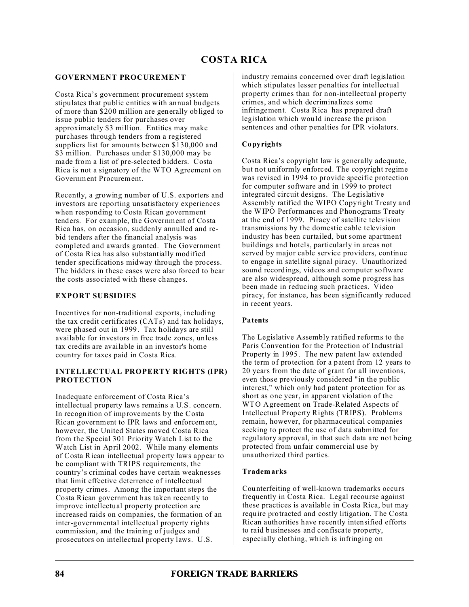## **GOVERNMENT PROCUREMENT**

Costa Rica's government procurement system stipulates that public entities with annual budgets of more than \$200 million are generally obliged to issue public tenders for purchases over approximately \$3 million. Entities may make purchases through tenders from a registered suppliers list for amounts between \$130,000 and \$3 million. Purchases under \$130,000 may be made from a list of pre-selected bidders. Costa Rica is not a signatory of the WTO Agreement on Government Procurement.

Recently, a growing number of U.S. exporters and investors are reporting unsatisfactory experiences when responding to Costa Rican government tenders. For example, the Government of Costa Rica has, on occasion, suddenly annulled and rebid tenders after the financial analysis was completed and awards granted. The Government of Costa Rica has also substantially modified tender specifications midway through the process. The bidders in these cases were also forced to bear the costs associated with these changes.

## **EXPORT SUBSIDIES**

Incentives for non-traditional exports, including the tax credit certificates (CATs) and tax holidays, were phased out in 1999. Tax holidays are still available for investors in free trade zones, unless tax credits are available in an investor's home country for taxes paid in Costa Rica.

## **INTELLECTUAL PROPERTY RIGHTS (IPR) PROTECTION**

Inadequate enforcement of Costa Rica's intellectual property laws remains a U.S. concern. In recognition of improvements by the Costa Rican government to IPR laws and enforcement, however, the United States moved Costa Rica from the Special 301 Priority Watch List to the Watch List in April 2002. While many elements of Costa Rican intellectual property laws appear to be compliant with TRIPS requirements, the country's criminal codes have certain weaknesses that limit effective deterrence of intellectual property crimes. Among the important steps the Costa Rican government has taken recently to improve intellectual property protection are increased raids on companies, the formation of an inter-governmental intellectual property rights commission, and the training of judges and prosecutors on intellectual property laws. U.S.

industry remains concerned over draft legislation which stipulates lesser penalties for intellectual property crimes than for non-intellectual property crimes, and which decriminalizes some infringement. Costa Rica has prepared draft legislation which would increase the prison sentences and other penalties for IPR violators.

# **Copyrights**

Costa Rica's copyright law is generally adequate, but not uniformly enforced. The copyright regime was revised in 1994 to provide specific protection for computer software and in 1999 to protect integrated circuit designs. The Legislative Assembly ratified the WIPO Copyright Treaty and the WIPO Performances and Phonograms Treaty at the end of 1999. Piracy of satellite television transmissions by the domestic cable television industry has been curtailed, but some apartment buildings and hotels, particularly in areas not served by major cable service providers, continue to engage in satellite signal piracy. Unauthorized sound recordings, videos and computer software are also widespread, although some progress has been made in reducing such practices. Video piracy, for instance, has been significantly reduced in recent years.

# **Patents**

The Legislative Assembly ratified reforms to the Paris Convention for the Protection of Industrial Property in 1995. The new patent law extended the term of protection for a patent from 12 years to 20 years from the date of grant for all inventions, even those previously considered "in the public interest," which only had patent protection for as short as one year, in apparent violation of the WTO Agreement on Trade-Related Aspects of Intellectual Property Rights (TRIPS). Problems remain, however, for pharmaceutical companies seeking to protect the use of data submitted for regulatory approval, in that such data are not being protected from unfair commercial use by unauthorized third parties.

## **Trademarks**

Counterfeiting of well-known trademarks occurs frequently in Costa Rica. Legal recourse against these practices is available in Costa Rica, but may require protracted and costly litigation. The Costa Rican authorities have recently intensified efforts to raid businesses and confiscate property, especially clothing, which is infringing on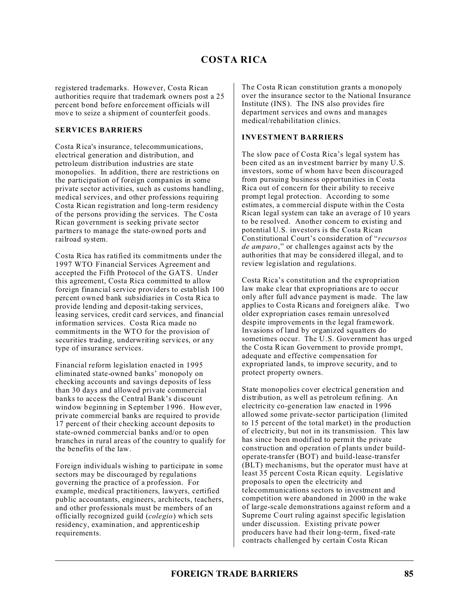# **COSTA RICA**

registered trademarks. However, Costa Rican authorities require that trademark owners post a 25 percent bond before enforcement officials will move to seize a shipment of counterfeit goods.

#### **SERVICES BARRIERS**

Costa Rica's insurance, telecommunications, electrical generation and distribution, and petroleum distribution industries are state monopolies. In addition, there are restrictions on the participation of foreign companies in some private sector activities, such as customs handling, medical services, and other professions requiring Costa Rican registration and long-term residency of the persons providing the services. The Costa Rican government is seeking private sector partners to manage the state-owned ports and railroad system.

Costa Rica has ratified its commitments under the 1997 WTO Financial Services Agreement and accepted the Fifth Protocol of the GATS. Under this agreement, Costa Rica committed to allow foreign financial service providers to establish 100 percent owned bank subsidiaries in Costa Rica to provide lending and deposit-taking services, leasing services, credit card services, and financial information services. Costa Rica made no commitments in the WTO for the provision of securities trading, underwriting services, or any type of insurance services.

Financial reform legislation enacted in 1995 eliminated state-owned banks' monopoly on checking accounts and savings deposits of less than 30 days and allowed private commercial banks to access the Central Bank's discount window beginning in September 1996. However, private commercial banks are required to provide 17 percent of their checking account deposits to state-owned commercial banks and/or to open branches in rural areas of the country to qualify for the benefits of the law.

Foreign individuals wishing to participate in some sectors may be discouraged by regulations governing the practice of a profession. For example, medical practitioners, lawyers, certified public accountants, engineers, architects, teachers, and other professionals must be members of an officially recognized guild (*colegio*) which sets residency, examination, and apprenticeship requirements.

The Costa Rican constitution grants a monopoly over the insurance sector to the National Insurance Institute (INS). The INS also provides fire department services and owns and manages medical/rehabilitation clinics.

## **INVESTMENT BARRIERS**

The slow pace of Costa Rica's legal system has been cited as an investment barrier by many U.S. investors, some of whom have been discouraged from pursuing business opportunities in Costa Rica out of concern for their ability to receive prompt legal protection. According to some estimates, a commercial dispute within the Costa Rican legal system can take an average of 10 years to be resolved. Another concern to existing and potential U.S. investors is the Costa Rican Constitutional Court's consideration of "*recursos de amparo*," or challenges against acts by the authorities that may be considered illegal, and to review legislation and regulations.

Costa Rica's constitution and the expropriation law make clear that expropriations are to occur only after full advance payment is made. The law applies to Costa Ricans and foreigners alike. Two older expropriation cases remain unresolved despite improvements in the legal framework. Invasions of land by organized squatters do sometimes occur. The U.S. Government has urged the Costa Rican Government to provide prompt, adequate and effective compensation for expropriated lands, to improve security, and to protect property owners.

State monopolies cover electrical generation and distribution, as well as petroleum refining. An electricity co-generation law enacted in 1996 allowed some private-sector participation (limited to 15 percent of the total market) in the production of electricity, but not in its transmission. This law has since been modified to permit the private construction and operation of plants under buildoperate-transfer (BOT) and build-lease-transfer (BLT) mechanisms, but the operator must have at least 35 percent Costa Rican equity. Legislative proposals to open the electricity and telecommunications sectors to investment and competition were abandoned in 2000 in the wake of large-scale demonstrations against reform and a Supreme Court ruling against specific legislation under discussion. Existing private power producers have had their long-term, fixed-rate contracts challenged by certain Costa Rican